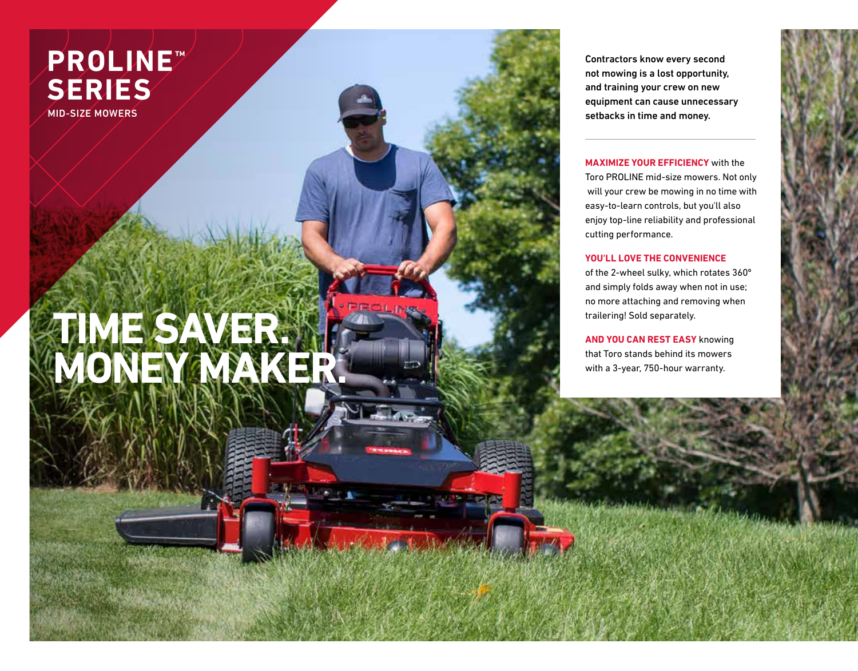## **PROLINE™ SERIES**

MID-SIZE MOWERS

## **TIME SAVER. MONEY MAKER.**

Contractors know every second not mowing is a lost opportunity, and training your crew on new equipment can cause unnecessary setbacks in time and money.

## **MAXIMIZE YOUR EFFICIENCY** with the

Toro PROLINE mid-size mowers. Not only will your crew be mowing in no time with easy-to-learn controls, but you'll also enjoy top-line reliability and professional cutting performance.

## **YOU'LL LOVE THE CONVENIENCE**

of the 2-wheel sulky, which rotates 360º and simply folds away when not in use; no more attaching and removing when trailering! Sold separately.

**AND YOU CAN REST EASY** knowing that Toro stands behind its mowers with a 3-year, 750-hour warranty.